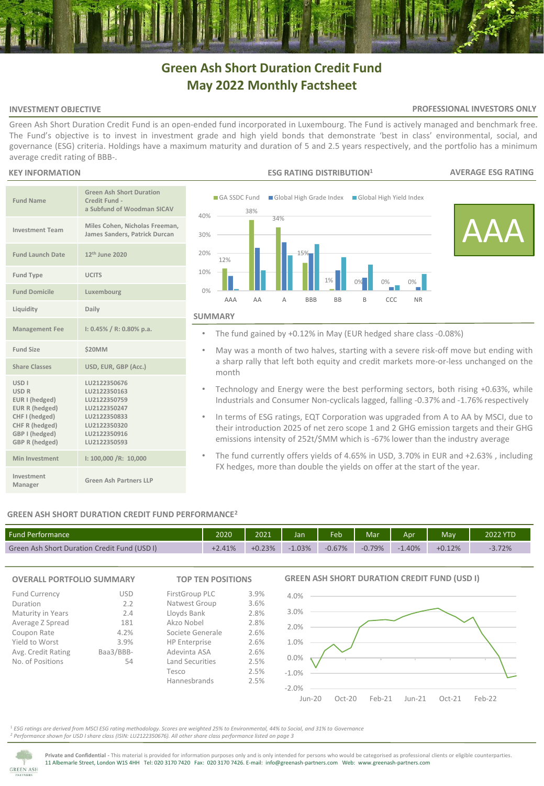# **Green Ash Short Duration Credit Fund May 2022 Monthly Factsheet**

# **INVESTMENT OBJECTIVE**

### **PROFESSIONAL INVESTORS ONLY**

Green Ash Short Duration Credit Fund is an open-ended fund incorporated in Luxembourg. The Fund is actively managed and benchmark free. The Fund's objective is to invest in investment grade and high yield bonds that demonstrate 'best in class' environmental, social, and governance (ESG) criteria. Holdings have a maximum maturity and duration of 5 and 2.5 years respectively, and the portfolio has a minimum average credit rating of BBB-.

### **KEY INFORMATION**

| <b>Fund Name</b>                                                                                                                                                 | <b>Green Ash Short Duration</b><br>Credit Fund -<br>a Subfund of Woodman SICAV                                               |
|------------------------------------------------------------------------------------------------------------------------------------------------------------------|------------------------------------------------------------------------------------------------------------------------------|
| <b>Investment Team</b>                                                                                                                                           | Miles Cohen, Nicholas Freeman,<br>James Sanders, Patrick Durcan                                                              |
| <b>Fund Launch Date</b>                                                                                                                                          | 12 <sup>th</sup> June 2020                                                                                                   |
| <b>Fund Type</b>                                                                                                                                                 | <b>UCITS</b>                                                                                                                 |
| <b>Fund Domicile</b>                                                                                                                                             | Luxembourg                                                                                                                   |
| Liquidity                                                                                                                                                        | Daily                                                                                                                        |
| <b>Management Fee</b>                                                                                                                                            | $1: 0.45\% / R: 0.80\%$ p.a.                                                                                                 |
| <b>Fund Size</b>                                                                                                                                                 | <b>\$20MM</b>                                                                                                                |
| <b>Share Classes</b>                                                                                                                                             | USD, EUR, GBP (Acc.)                                                                                                         |
| <b>USD<sub>I</sub></b><br><b>USD R</b><br>EUR I (hedged)<br><b>EUR R (hedged)</b><br>CHF I (hedged)<br>CHF R (hedged)<br>GBP I (hedged)<br><b>GBP R (hedged)</b> | LU2122350676<br>LU2122350163<br>LU2122350759<br>LU2122350247<br>LU2122350833<br>LU2122350320<br>LU2122350916<br>LU2122350593 |
| <b>Min Investment</b>                                                                                                                                            | I: 100,000 /R: 10,000                                                                                                        |
| Investment<br>Manager                                                                                                                                            | Green Ash Partners LLP                                                                                                       |



- The fund gained by +0.12% in May (EUR hedged share class -0.08%)
- May was a month of two halves, starting with a severe risk-off move but ending with a sharp rally that left both equity and credit markets more-or-less unchanged on the month
- Technology and Energy were the best performing sectors, both rising +0.63%, while Industrials and Consumer Non-cyclicals lagged, falling -0.37% and -1.76% respectively
- In terms of ESG ratings, EQT Corporation was upgraded from A to AA by MSCI, due to their introduction 2025 of net zero scope 1 and 2 GHG emission targets and their GHG emissions intensity of 252t/\$MM which is -67% lower than the industry average
- The fund currently offers yields of 4.65% in USD, 3.70% in EUR and +2.63% , including FX hedges, more than double the yields on offer at the start of the year.

# **GREEN ASH SHORT DURATION CREDIT FUND PERFORMANCE<sup>2</sup>**

| <b>Fund Performance</b>                      | 2020     | 2021     | Jan  | Feb <sup>-</sup> | Mar <sup>'</sup> | Apr  | <b>May</b> | 2022 YTD |
|----------------------------------------------|----------|----------|------|------------------|------------------|------|------------|----------|
| Green Ash Short Duration Credit Fund (USD I) | $+2.41%$ | $+0.23%$ | .03% | $-0.67%$         | $-0.79%$         | .40% | $+0.12%$   | $-3.72%$ |



<sup>1</sup> *ESG ratings are derived from MSCI ESG rating methodology. Scores are weighted 25% to Environmental, 44% to Social, and 31% to Governance <sup>2</sup> Performance shown for USD I share class (ISIN: LU2122350676). All other share class performance listed on page 3* 



**Private and Confidential -** This material is provided for information purposes only and is only intended for persons who would be categorised as professional clients or eligible counterparties. 11 Albemarle Street, London W1S 4HH Tel: 020 3170 7420 Fax: 020 3170 7426. E-mail: info@greenash-partners.com Web: www.greenash-partners.com

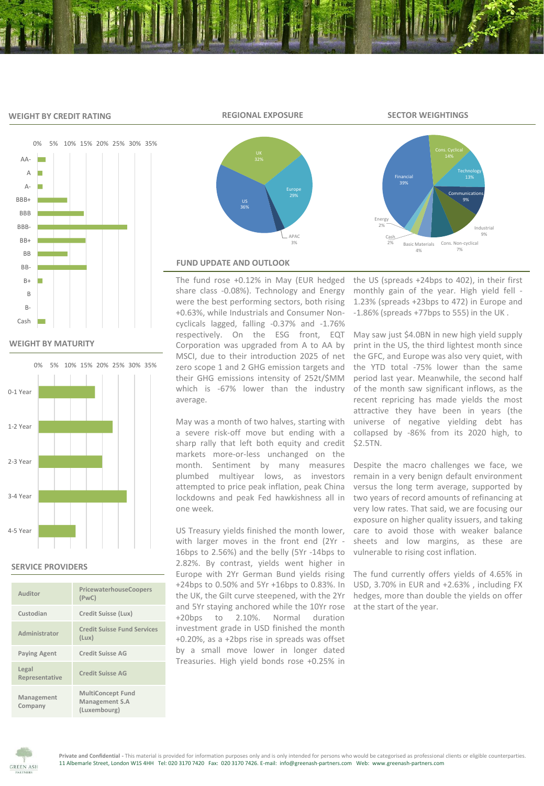# **WEIGHT BY CREDIT RATING**



**WEIGHT BY MATURITY**



# **SERVICE PROVIDERS**

| Auditor                 | PricewaterhouseCoopers<br>(PWC)                            |
|-------------------------|------------------------------------------------------------|
| Custodian               | Credit Suisse (Lux)                                        |
| Administrator           | <b>Credit Suisse Fund Services</b><br>(Lux)                |
| <b>Paying Agent</b>     | <b>Credit Suisse AG</b>                                    |
| Legal<br>Representative | Credit Suisse AG                                           |
| Management<br>Company   | <b>MultiConcept Fund</b><br>Management S.A<br>(Luxembourg) |



APAC 3%

# **REGIONAL EXPOSURE SECTOR WEIGHTINGS**



# **FUND UPDATE AND OUTLOOK**

The fund rose +0.12% in May (EUR hedged share class -0.08%). Technology and Energy were the best performing sectors, both rising +0.63%, while Industrials and Consumer Noncyclicals lagged, falling -0.37% and -1.76% respectively. On the ESG front, EQT Corporation was upgraded from A to AA by MSCI, due to their introduction 2025 of net zero scope 1 and 2 GHG emission targets and their GHG emissions intensity of 252t/\$MM which is -67% lower than the industry average.

May was a month of two halves, starting with a severe risk-off move but ending with a sharp rally that left both equity and credit markets more-or-less unchanged on the month. Sentiment by many measures plumbed multiyear lows, as investors attempted to price peak inflation, peak China lockdowns and peak Fed hawkishness all in one week.

US Treasury yields finished the month lower, with larger moves in the front end (2Yr - 16bps to 2.56%) and the belly (5Yr -14bps to 2.82%. By contrast, yields went higher in Europe with 2Yr German Bund yields rising +24bps to 0.50% and 5Yr +16bps to 0.83%. In the UK, the Gilt curve steepened, with the 2Yr and 5Yr staying anchored while the 10Yr rose +20bps to 2.10%. Normal duration investment grade in USD finished the month +0.20%, as a +2bps rise in spreads was offset by a small move lower in longer dated Treasuries. High yield bonds rose +0.25% in

the US (spreads +24bps to 402), in their first monthly gain of the year. High yield fell - 1.23% (spreads +23bps to 472) in Europe and -1.86% (spreads +77bps to 555) in the UK .

May saw just \$4.0BN in new high yield supply print in the US, the third lightest month since the GFC, and Europe was also very quiet, with the YTD total -75% lower than the same period last year. Meanwhile, the second half of the month saw significant inflows, as the recent repricing has made yields the most attractive they have been in years (the universe of negative yielding debt has collapsed by -86% from its 2020 high, to \$2.5TN.

Despite the macro challenges we face, we remain in a very benign default environment versus the long term average, supported by two years of record amounts of refinancing at very low rates. That said, we are focusing our exposure on higher quality issuers, and taking care to avoid those with weaker balance sheets and low margins, as these are vulnerable to rising cost inflation.

The fund currently offers yields of 4.65% in USD, 3.70% in EUR and +2.63% , including FX hedges, more than double the yields on offer at the start of the year.